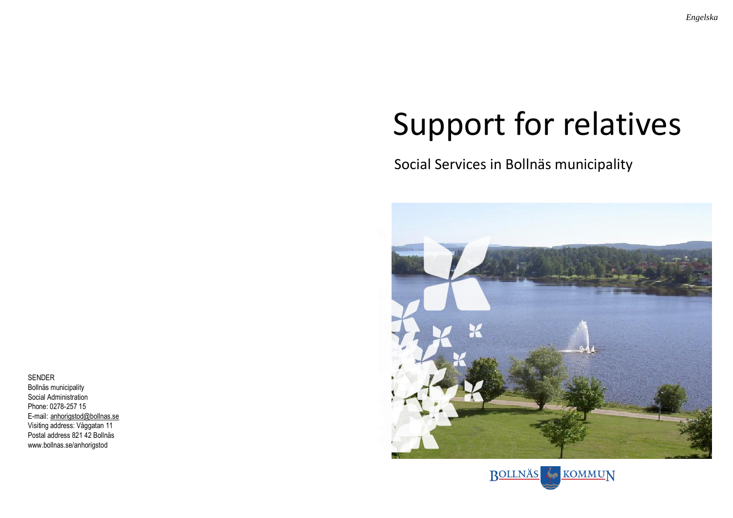# Support for relatives

# Social Services in Bollnäs municipality



**BOLLNÄS & KOMMUN** 

SENDER Bollnäs municipality Social Administration Phone: 0278-257 15 E-mail: <anhorigstod@bollnas.se> Visiting address: Våggatan 11 Postal address 821 42 Bollnäs www.bollnas.se/anhorigstod